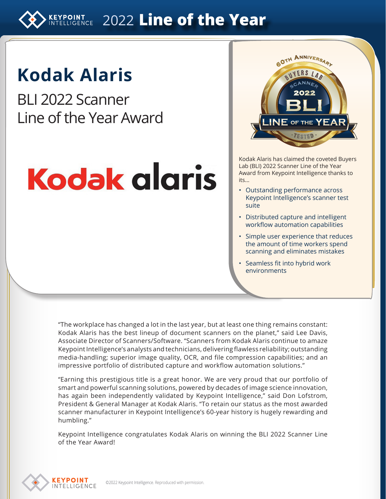**EXPOINT 2022 Line of the Year** 

# **Kodak Alaris**

BLI 2022 Scanner Line of the Year Award

# **Kodak alaris**



Kodak Alaris has claimed the coveted Buyers Lab (BLI) 2022 Scanner Line of the Year Award from Keypoint Intelligence thanks to its…

- Outstanding performance across Keypoint Intelligence's scanner test suite
- Distributed capture and intelligent workflow automation capabilities
- Simple user experience that reduces the amount of time workers spend scanning and eliminates mistakes
- Seamless fit into hybrid work environments

"The workplace has changed a lot in the last year, but at least one thing remains constant: Kodak Alaris has the best lineup of document scanners on the planet," said Lee Davis, Associate Director of Scanners/Software. "Scanners from Kodak Alaris continue to amaze Keypoint Intelligence's analysts and technicians, delivering flawless reliability; outstanding media-handling; superior image quality, OCR, and file compression capabilities; and an impressive portfolio of distributed capture and workflow automation solutions."

"Earning this prestigious title is a great honor. We are very proud that our portfolio of smart and powerful scanning solutions, powered by decades of image science innovation, has again been independently validated by Keypoint Intelligence," said Don Lofstrom, President & General Manager at Kodak Alaris. "To retain our status as the most awarded scanner manufacturer in Keypoint Intelligence's 60-year history is hugely rewarding and humbling."

Keypoint Intelligence congratulates Kodak Alaris on winning the BLI 2022 Scanner Line of the Year Award!

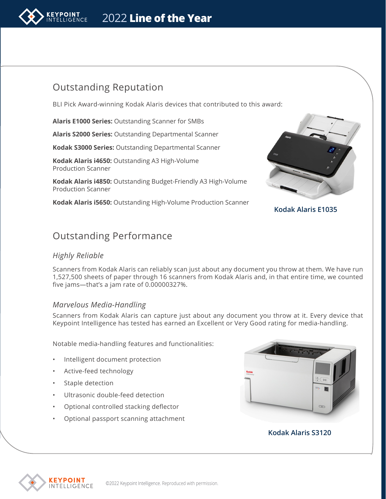

# Outstanding Reputation

BLI Pick Award-winning Kodak Alaris devices that contributed to this award:

**Alaris E1000 Series:** Outstanding Scanner for SMBs

**Alaris S2000 Series:** Outstanding Departmental Scanner

**Kodak S3000 Series:** Outstanding Departmental Scanner

**Kodak Alaris i4650:** Outstanding A3 High-Volume Production Scanner

**Kodak Alaris i4850:** Outstanding Budget-Friendly A3 High-Volume Production Scanner

**Kodak Alaris i5650:** Outstanding High-Volume Production Scanner



**Kodak Alaris E1035**

# Outstanding Performance

### *Highly Reliable*

Scanners from Kodak Alaris can reliably scan just about any document you throw at them. We have run 1,527,500 sheets of paper through 16 scanners from Kodak Alaris and, in that entire time, we counted five jams—that's a jam rate of 0.00000327%.

### *Marvelous Media-Handling*

Scanners from Kodak Alaris can capture just about any document you throw at it. Every device that Keypoint Intelligence has tested has earned an Excellent or Very Good rating for media-handling.

Notable media-handling features and functionalities:

- Intelligent document protection
- Active-feed technology
- Staple detection
- Ultrasonic double-feed detection
- Optional controlled stacking deflector
- Optional passport scanning attachment



#### **Kodak Alaris S3120**

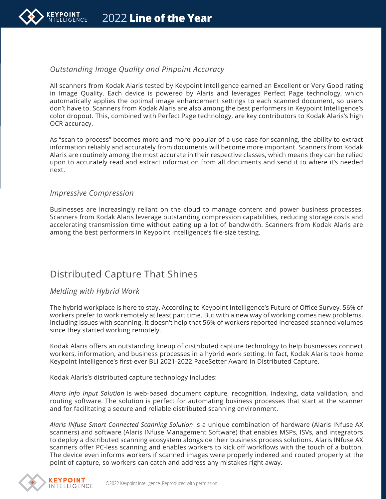

## *Outstanding Image Quality and Pinpoint Accuracy*

All scanners from Kodak Alaris tested by Keypoint Intelligence earned an Excellent or Very Good rating in Image Quality. Each device is powered by Alaris and leverages Perfect Page technology, which automatically applies the optimal image enhancement settings to each scanned document, so users don't have to. Scanners from Kodak Alaris are also among the best performers in Keypoint Intelligence's color dropout. This, combined with Perfect Page technology, are key contributors to Kodak Alaris's high OCR accuracy.

As "scan to process" becomes more and more popular of a use case for scanning, the ability to extract information reliably and accurately from documents will become more important. Scanners from Kodak Alaris are routinely among the most accurate in their respective classes, which means they can be relied upon to accurately read and extract information from all documents and send it to where it's needed next.

#### *Impressive Compression*

Businesses are increasingly reliant on the cloud to manage content and power business processes. Scanners from Kodak Alaris leverage outstanding compression capabilities, reducing storage costs and accelerating transmission time without eating up a lot of bandwidth. Scanners from Kodak Alaris are among the best performers in Keypoint Intelligence's file-size testing.

# Distributed Capture That Shines

#### *Melding with Hybrid Work*

The hybrid workplace is here to stay. According to Keypoint Intelligence's Future of Office Survey, 56% of workers prefer to work remotely at least part time. But with a new way of working comes new problems, including issues with scanning. It doesn't help that 56% of workers reported increased scanned volumes since they started working remotely.

Kodak Alaris offers an outstanding lineup of distributed capture technology to help businesses connect workers, information, and business processes in a hybrid work setting. In fact, Kodak Alaris took home Keypoint Intelligence's first-ever BLI 2021-2022 PaceSetter Award in Distributed Capture.

Kodak Alaris's distributed capture technology includes:

*Alaris Info Input Solution* is web-based document capture, recognition, indexing, data validation, and routing software. The solution is perfect for automating business processes that start at the scanner and for facilitating a secure and reliable distributed scanning environment.

*Alaris INfuse Smart Connected Scanning Solution* is a unique combination of hardware (Alaris INfuse AX scanners) and software (Alaris INfuse Management Software) that enables MSPs, ISVs, and integrators to deploy a distributed scanning ecosystem alongside their business process solutions. Alaris INfuse AX scanners offer PC-less scanning and enables workers to kick off workflows with the touch of a button. The device even informs workers if scanned images were properly indexed and routed properly at the point of capture, so workers can catch and address any mistakes right away.

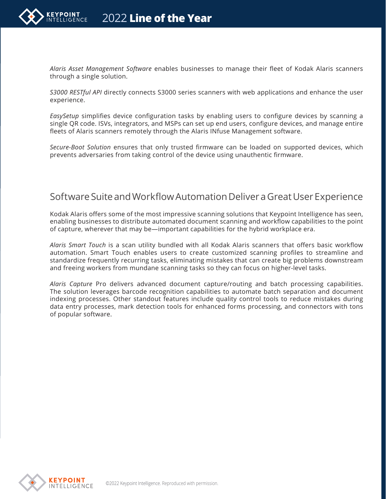

*Alaris Asset Management Software* enables businesses to manage their fleet of Kodak Alaris scanners through a single solution.

*S3000 RESTful API* directly connects S3000 series scanners with web applications and enhance the user experience.

*EasySetup* simplifies device configuration tasks by enabling users to configure devices by scanning a single QR code. ISVs, integrators, and MSPs can set up end users, configure devices, and manage entire fleets of Alaris scanners remotely through the Alaris INfuse Management software.

*Secure-Boot Solution* ensures that only trusted firmware can be loaded on supported devices, which prevents adversaries from taking control of the device using unauthentic firmware.

# Software Suite and Workflow Automation Deliver a Great User Experience

Kodak Alaris offers some of the most impressive scanning solutions that Keypoint Intelligence has seen, enabling businesses to distribute automated document scanning and workflow capabilities to the point of capture, wherever that may be—important capabilities for the hybrid workplace era.

*Alaris Smart Touch* is a scan utility bundled with all Kodak Alaris scanners that offers basic workflow automation. Smart Touch enables users to create customized scanning profiles to streamline and standardize frequently recurring tasks, eliminating mistakes that can create big problems downstream and freeing workers from mundane scanning tasks so they can focus on higher-level tasks.

*Alaris Capture* Pro delivers advanced document capture/routing and batch processing capabilities. The solution leverages barcode recognition capabilities to automate batch separation and document indexing processes. Other standout features include quality control tools to reduce mistakes during data entry processes, mark detection tools for enhanced forms processing, and connectors with tons of popular software.